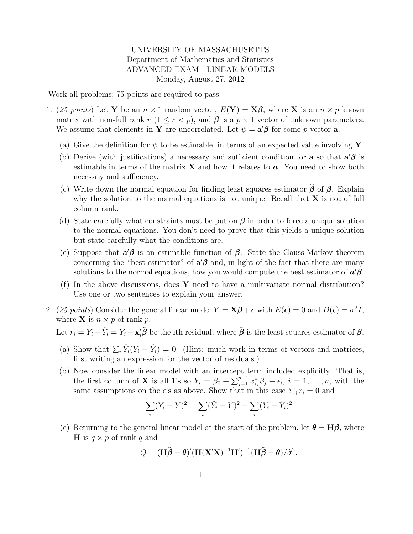## UNIVERSITY OF MASSACHUSETTS Department of Mathematics and Statistics ADVANCED EXAM - LINEAR MODELS Monday, August 27, 2012

Work all problems; 75 points are required to pass.

- 1. (25 points) Let Y be an  $n \times 1$  random vector,  $E(Y) = X\beta$ , where X is an  $n \times p$  known matrix with non-full rank  $r (1 \le r \le p)$ , and  $\beta$  is a  $p \times 1$  vector of unknown parameters. We assume that elements in Y are uncorrelated. Let  $\psi = \mathbf{a}'\boldsymbol{\beta}$  for some *p*-vector **a**.
	- (a) Give the definition for  $\psi$  to be estimable, in terms of an expected value involving Y.
	- (b) Derive (with justifications) a necessary and sufficient condition for **a** so that  $a'\beta$  is estimable in terms of the matrix  $X$  and how it relates to  $a$ . You need to show both necessity and sufficiency.
	- (c) Write down the normal equation for finding least squares estimator  $\hat{\beta}$  of  $\beta$ . Explain why the solution to the normal equations is not unique. Recall that  $X$  is not of full column rank.
	- (d) State carefully what constraints must be put on  $\beta$  in order to force a unique solution to the normal equations. You don't need to prove that this yields a unique solution but state carefully what the conditions are.
	- (e) Suppose that  $a'\beta$  is an estimable function of  $\beta$ . State the Gauss-Markov theorem concerning the "best estimator" of  $a'\beta$  and, in light of the fact that there are many solutions to the normal equations, how you would compute the best estimator of  $a'\beta$ .
	- (f) In the above discussions, does  $Y$  need to have a multivariate normal distribution? Use one or two sentences to explain your answer.
- 2. (25 points) Consider the general linear model  $Y = \mathbf{X}\boldsymbol{\beta} + \boldsymbol{\epsilon}$  with  $E(\boldsymbol{\epsilon}) = 0$  and  $D(\boldsymbol{\epsilon}) = \sigma^2 I$ , where **X** is  $n \times p$  of rank p.
	- Let  $r_i = Y_i \hat{Y}_i = Y_i \mathbf{x}_i' \hat{\boldsymbol{\beta}}$  be the ith residual, where  $\hat{\boldsymbol{\beta}}$  is the least squares estimator of  $\boldsymbol{\beta}$ .
	- (a) Show that  $\sum_i \hat{Y}_i(Y_i \hat{Y}_i) = 0$ . (Hint: much work in terms of vectors and matrices, first writing an expression for the vector of residuals.)
	- (b) Now consider the linear model with an intercept term included explicitly. That is, the first column of **X** is all 1's so  $Y_i = \beta_0 + \sum_{j=1}^{p-1} x_{ij}^* \beta_j + \epsilon_i$ ,  $i = 1, ..., n$ , with the same assumptions on the  $\epsilon$ 's as above. Show that in this case  $\sum_i r_i = 0$  and

$$
\sum_{i} (Y_i - \overline{Y})^2 = \sum_{i} (\hat{Y}_i - \overline{Y})^2 + \sum_{i} (Y_i - \hat{Y}_i)^2
$$

(c) Returning to the general linear model at the start of the problem, let  $\theta = H\beta$ , where **H** is  $q \times p$  of rank q and

$$
Q = (\mathbf{H}\widehat{\boldsymbol{\beta}} - \boldsymbol{\theta})'(\mathbf{H}(\mathbf{X}'\mathbf{X})^{-1}\mathbf{H}')^{-1}(\mathbf{H}\widehat{\boldsymbol{\beta}} - \boldsymbol{\theta})/\widehat{\sigma}^2.
$$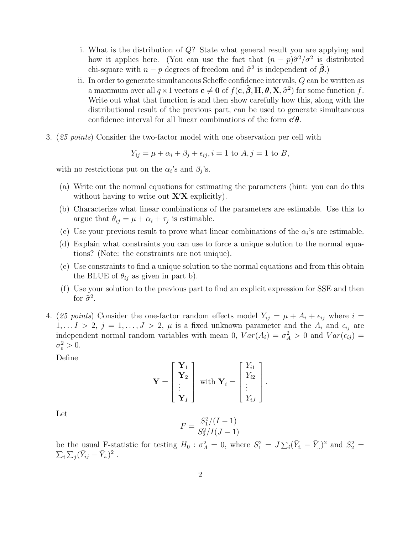- i. What is the distribution of Q? State what general result you are applying and how it applies here. (You can use the fact that  $(n - p)\hat{\sigma}^2/\sigma^2$  is distributed chi-square with  $n - p$  degrees of freedom and  $\hat{\sigma}^2$  is independent of  $\hat{\beta}$ .)
- ii. In order to generate simultaneous Scheffe confidence intervals, Q can be written as a maximum over all  $q \times 1$  vectors  $\mathbf{c} \neq \mathbf{0}$  of  $f(\mathbf{c}, \hat{\boldsymbol{\beta}}, \mathbf{H}, \boldsymbol{\theta}, \mathbf{X}, \hat{\sigma}^2)$  for some function f. Write out what that function is and then show carefully how this, along with the distributional result of the previous part, can be used to generate simultaneous confidence interval for all linear combinations of the form  $c'\theta$ .
- 3. (25 points) Consider the two-factor model with one observation per cell with

$$
Y_{ij} = \mu + \alpha_i + \beta_j + \epsilon_{ij}, i = 1 \text{ to } A, j = 1 \text{ to } B,
$$

with no restrictions put on the  $\alpha_i$ 's and  $\beta_j$ 's.

- (a) Write out the normal equations for estimating the parameters (hint: you can do this without having to write out  $X'X$  explicitly).
- (b) Characterize what linear combinations of the parameters are estimable. Use this to argue that  $\theta_{ij} = \mu + \alpha_i + \tau_j$  is estimable.
- (c) Use your previous result to prove what linear combinations of the  $\alpha_i$ 's are estimable.
- (d) Explain what constraints you can use to force a unique solution to the normal equations? (Note: the constraints are not unique).
- (e) Use constraints to find a unique solution to the normal equations and from this obtain the BLUE of  $\theta_{ij}$  as given in part b).
- (f) Use your solution to the previous part to find an explicit expression for SSE and then for  $\hat{\sigma}^2$ .
- 4. (25 points) Consider the one-factor random effects model  $Y_{ij} = \mu + A_i + \epsilon_{ij}$  where  $i =$  $1, \ldots I > 2, j = 1, \ldots, J > 2, \mu$  is a fixed unknown parameter and the  $A_i$  and  $\epsilon_{ij}$  are independent normal random variables with mean 0,  $Var(A_i) = \sigma_A^2 > 0$  and  $Var(\epsilon_{ij}) =$  $\sigma_{\epsilon}^2 > 0.$

Define

$$
\mathbf{Y} = \begin{bmatrix} \mathbf{Y}_1 \\ \mathbf{Y}_2 \\ \vdots \\ \mathbf{Y}_I \end{bmatrix} \text{ with } \mathbf{Y}_i = \begin{bmatrix} Y_{i1} \\ Y_{i2} \\ \vdots \\ Y_{iJ} \end{bmatrix}.
$$

Let

$$
F = \frac{S_1^2/(I-1)}{S_2^2/I(J-1)}
$$

be the usual F-statistic for testing  $H_0$ :  $\sigma_A^2 = 0$ , where  $S_1^2 = J \sum_i (\bar{Y}_{i.} - \bar{Y}_{..})^2$  and  $S_2^2 =$  $\sum_i \sum_j (\bar{Y}_{ij} - \bar{Y}_{i.})^2$ .